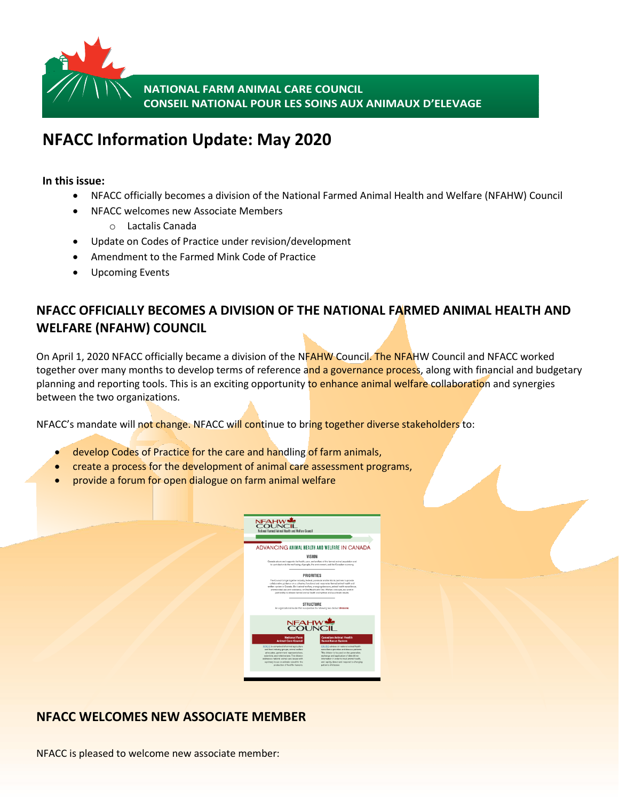

**NATIONAL FARM ANIMAL CARE COUNCIL CONSEIL NATIONAL POUR LES SOINS AUX ANIMAUX D'ELEVAGE**

# **NFACC Information Update: May 2020**

**In this issue:**

- NFACC officially becomes a division of the National Farmed Animal Health and Welfare (NFAHW) Council
- NFACC welcomes new Associate Members
	- o Lactalis Canada
- Update on Codes of Practice under revision/development
- Amendment to the Farmed Mink Code of Practice
- Upcoming Events

# **NFACC OFFICIALLY BECOMES A DIVISION OF THE NATIONAL FARMED ANIMAL HEALTH AND WELFARE (NFAHW) COUNCIL**

On April 1, 2020 NFACC officially became a division of the NFAHW Council. The NFAHW Council and NFACC worked together over many months to develop terms of reference and a governance process, along with financial and budgetary planning and reporting tools. This is an exciting opportunity to enhance animal welfare collaboration and synergies between the two organizations.

NFACC's mandate will not change. NFACC will continue to bring together diverse stakeholders to:

- develop Codes of Practice for the care and handling of farm animals,
- create a process for the development of animal care assessment programs,
- provide a forum for open dialogue on farm animal welfare



## **NFACC WELCOMES NEW ASSOCIATE MEMBER**

NFACC is pleased to welcome new associate member: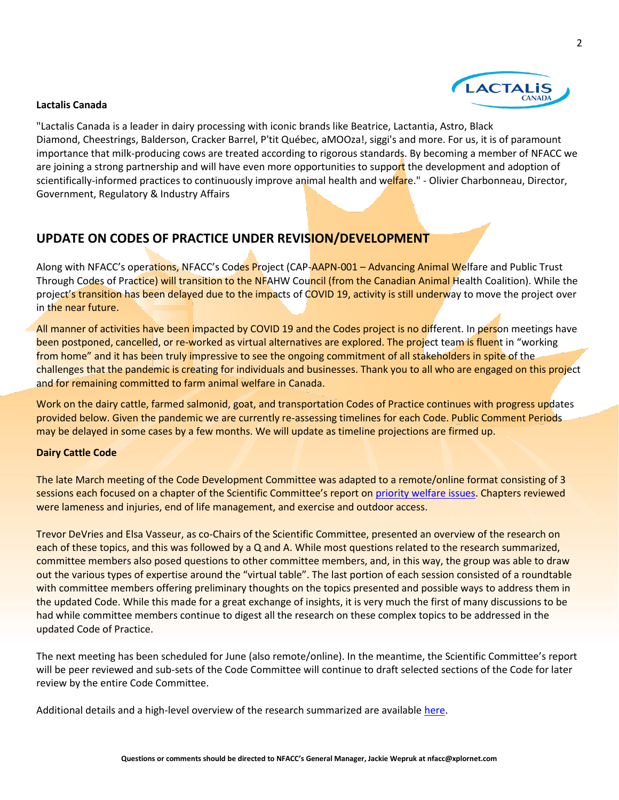

#### **Lactalis Canada**

"Lactalis Canada is a leader in dairy processing with iconic brands like Beatrice, Lactantia, Astro, Black Diamond, Cheestrings, Balderson, Cracker Barrel, P'tit Québec, aMOOza!, siggi's and more. For us, it is of paramount importance that milk-producing cows are treated according to rigorous standards. By becoming a member of NFACC we are joining a strong partnership and will have even more opportunities to support the development and adoption of scientifically-informed practices to continuously improve animal health and welfare." - Olivier Charbonneau, Director, Government, Regulatory & Industry Affairs

### **UPDATE ON CODES OF PRACTICE UNDER REVISION/DEVELOPMENT**

Along with NFACC's operations, NFACC's Codes Project (CAP-AAPN-001 – Advancing Animal Welfare and Public Trust Through Codes of Practice) will transition to the NFAHW Council (from the Canadian Animal Health Coalition). While the project's transition has been delayed due to the impacts of COVID 19, activity is still underway to move the project over in the near future.

All manner of activities have been impacted by COVID 19 and the Codes project is no different. In person meetings have been postponed, cancelled, or re-worked as virtual alternatives are explored. The project team is fluent in "working from home" and it has been truly impressive to see the ongoing commitment of all stakeholders in spite of the challenges that the pandemic is creating for individuals and businesses. Thank you to all who are engaged on this project and for remaining committed to farm animal welfare in Canada.

Work on the dairy cattle, farmed salmonid, goat, and transportation Codes of Practice continues with progress updates provided below. Given the pandemic we are currently re-assessing timelines for each Code. Public Comment Periods may be delayed in some cases by a few months. We will update as timeline projections are firmed up.

#### **Dairy Cattle Code**

The late March meeting of the Code Development Committee was adapted to a remote/online format consisting of 3 sessions each focused on a chapter of the Scientific Committee's report on [priority welfare issues.](https://www.nfacc.ca/codes-of-practice/dairy-cattle#pwidairy) Chapters reviewed were lameness and injuries, end of life management, and exercise and outdoor access.

Trevor DeVries and Elsa Vasseur, as co-Chairs of the Scientific Committee, presented an overview of the research on each of these topics, and this was followed by a Q and A. While most questions related to the research summarized, committee members also posed questions to other committee members, and, in this way, the group was able to draw out the various types of expertise around the "virtual table". The last portion of each session consisted of a roundtable with committee members offering preliminary thoughts on the topics presented and possible ways to address them in the updated Code. While this made for a great exchange of insights, it is very much the first of many discussions to be had while committee members continue to digest all the research on these complex topics to be addressed in the updated Code of Practice.

The next meeting has been scheduled for June (also remote/online). In the meantime, the Scientific Committee's report will be peer reviewed and sub-sets of the Code Committee will continue to draft selected sections of the Code for later review by the entire Code Committee.

Additional details and a high-level overview of the research summarized are available [here.](https://www.nfacc.ca/progress-report-dairy)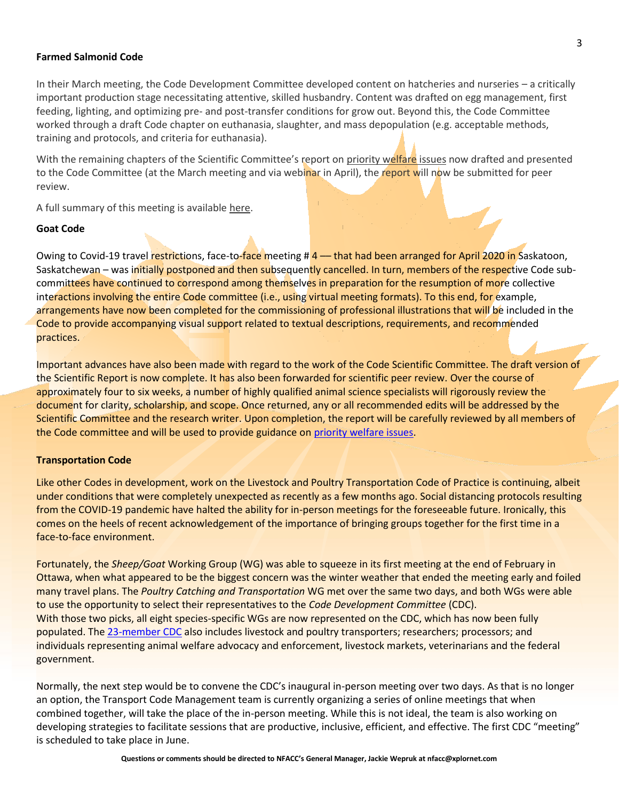#### **Farmed Salmonid Code**

In their March meeting, the Code Development Committee developed content on hatcheries and nurseries – a critically important production stage necessitating attentive, skilled husbandry. Content was drafted on egg management, first feeding, lighting, and optimizing pre- and post-transfer conditions for grow out. Beyond this, the Code Committee worked through a draft Code chapter on euthanasia, slaughter, and mass depopulation (e.g. acceptable methods, training and protocols, and criteria for euthanasia).

With the remaining chapters of the Scientific Committee's report on [priority welfare issues](https://www.nfacc.ca/codes-of-practice/farmed-salmonids#pwis) now drafted and presented to the Code Committee (at the March meeting and via webinar in April), the report will now be submitted for peer review.

A full summary of this meeting is available [here.](https://www.nfacc.ca/progress-report-farmed-finfish)

#### **Goat Code**

Owing to Covid-19 travel restrictions, face-to-face meeting # 4 — that had been arranged for April 2020 in Saskatoon, Saskatchewan – was initially postponed and then subsequently cancelled. In turn, members of the respective Code subcommittees have continued to correspond among themselves in preparation for the resumption of more collective interactions involving the entire Code committee (i.e., using virtual meeting formats). To this end, for example, arrangements have now been completed for the commissioning of professional illustrations that will be included in the Code to provide accompanying visual support related to textual descriptions, requirements, and recommended practices.

Important advances have also been made with regard to the work of the Code Scientific Committee. The draft version of the Scientific Report is now complete. It has also been forwarded for scientific peer review. Over the course of approximately four to six weeks, a number of highly qualified animal science specialists will rigorously review the document for clarity, scholarship, and scope. Once returned, any or all recommended edits will be addressed by the Scientific Committee and the research writer. Upon completion, the report will be carefully reviewed by all members of the Code committee and will be used to provide guidance on [priority welfare issues.](https://www.nfacc.ca/codes-of-practice/goats#pwi)

#### **Transportation Code**

Like other Codes in development, work on the Livestock and Poultry Transportation Code of Practice is continuing, albeit under conditions that were completely unexpected as recently as a few months ago. Social distancing protocols resulting from the COVID-19 pandemic have halted the ability for in-person meetings for the foreseeable future. Ironically, this comes on the heels of recent acknowledgement of the importance of bringing groups together for the first time in a face-to-face environment.

Fortunately, the *Sheep/Goat* Working Group (WG) was able to squeeze in its first meeting at the end of February in Ottawa, when what appeared to be the biggest concern was the winter weather that ended the meeting early and foiled many travel plans. The *Poultry Catching and Transportation* WG met over the same two days, and both WGs were able to use the opportunity to select their representatives to the *Code Development Committee* (CDC). With those two picks, all eight species-specific WGs are now represented on the CDC, which has now been fully populated. The [23-member CDC](https://www.nfacc.ca/codes-of-practice/transportation) also includes livestock and poultry transporters; researchers; processors; and individuals representing animal welfare advocacy and enforcement, livestock markets, veterinarians and the federal government.

Normally, the next step would be to convene the CDC's inaugural in-person meeting over two days. As that is no longer an option, the Transport Code Management team is currently organizing a series of online meetings that when combined together, will take the place of the in-person meeting. While this is not ideal, the team is also working on developing strategies to facilitate sessions that are productive, inclusive, efficient, and effective. The first CDC "meeting" is scheduled to take place in June.